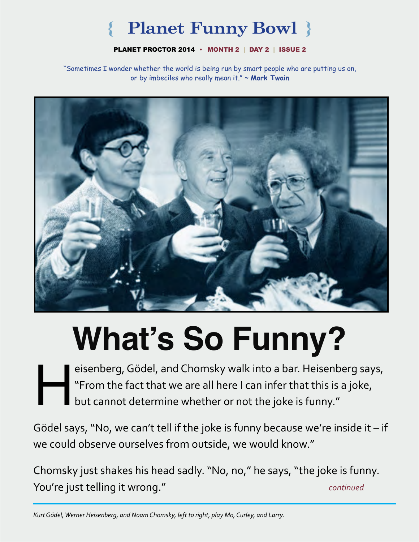#### PLANET PROCTOR 2014 **•** MONTH 2 | DAY 2 | ISSUE 2

"Sometimes I wonder whether the world is being run by smart people who are putting us on, or by imbeciles who really mean it." ~ **Mark Twain**



# **What's So Funny?**

eisenberg, Gödel, and Chomsky walk into a bar. Heisenberg says,<br>"From the fact that we are all here I can infer that this is a joke,<br>but cannot determine whether or not the joke is funny." "From the fact that we are all here I can infer that this is a joke, but cannot determine whether or not the joke is funny."

Gödel says, "No, we can't tell if the joke is funny because we're inside it – if we could observe ourselves from outside, we would know."

Chomsky just shakes his head sadly. "No, no," he says, "the joke is funny. You're just telling it wrong." *continued*  $\blacksquare$  *continued*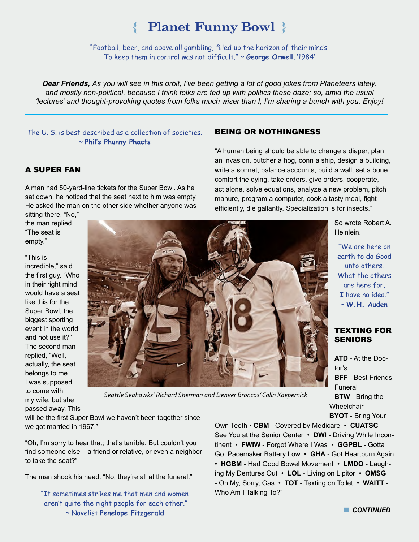"Football, beer, and above all gambling, filled up the horizon of their minds. To keep them in control was not difficult." ~ **George Orwell**, '1984'

*Dear Friends, As you will see in this orbit, I've been getting a lot of good jokes from Planeteers lately, and mostly non-political, because I think folks are fed up with politics these daze; so, amid the usual 'lectures' and thought-provoking quotes from folks much wiser than I, I'm sharing a bunch with you. Enjoy!*

The U. S. is best described as a collection of societies. ~ **Phil's Phunny Phacts**

#### A SUPER FAN

A man had 50-yard-line tickets for the Super Bowl. As he sat down, he noticed that the seat next to him was empty. He asked the man on the other side whether anyone was

sitting there. "No," the man replied. "The seat is empty."

"This is incredible," said the first guy. "Who in their right mind would have a seat like this for the Super Bowl, the biggest sporting event in the world and not use it?" The second man replied, "Well, actually, the seat belongs to me. I was supposed to come with my wife, but she passed away. This



*Seattle Seahawks' Richard Sherman and Denver Broncos' Colin Kaepernick*

will be the first Super Bowl we haven't been together since we got married in 1967."

"Oh, I'm sorry to hear that; that's terrible. But couldn't you find someone else – a friend or relative, or even a neighbor to take the seat?"

The man shook his head. "No, they're all at the funeral."

"It sometimes strikes me that men and women aren't quite the right people for each other." ~ Novelist **Penelope Fitzgerald**

Own Teeth • **CBM** - Covered by Medicare • **CUATSC** - See You at the Senior Center • **DWI** - Driving While Incontinent • **FWIW** - Forgot Where I Was • **GGPBL** - Gotta Go, Pacemaker Battery Low • **GHA** - Got Heartburn Again • **HGBM** - Had Good Bowel Movement • **LMDO** - Laughing My Dentures Out • **LOL** - Living on Lipitor • **OMSG** - Oh My, Sorry, Gas • **TOT** - Texting on Toilet • **WAITT** - Who Am I Talking To?"

#### BEING OR NOTHINGNESS

"A human being should be able to change a diaper, plan an invasion, butcher a hog, conn a ship, design a building, write a sonnet, balance accounts, build a wall, set a bone, comfort the dying, take orders, give orders, cooperate, act alone, solve equations, analyze a new problem, pitch manure, program a computer, cook a tasty meal, fight efficiently, die gallantly. Specialization is for insects."

> So wrote Robert A. Heinlein.

"We are here on earth to do Good unto others. What the others are here for, I have no idea." – **W.H. Auden**

#### TEXTING FOR **SENIORS**

**ATD** - At the Doctor's **BFF** - Best Friends Funeral **BTW** - Bring the **Wheelchair BYOT** - Bring Your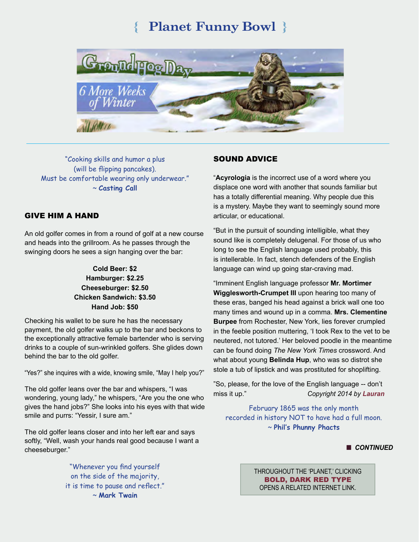

"Cooking skills and humor a plus (will be flipping pancakes). Must be comfortable wearing only underwear." ~ **Casting Call**

#### GIVE HIM A HAND

An old golfer comes in from a round of golf at a new course and heads into the grillroom. As he passes through the swinging doors he sees a sign hanging over the bar:

#### **Cold Beer: \$2 Hamburger: \$2.25 Cheeseburger: \$2.50 Chicken Sandwich: \$3.50 Hand Job: \$50**

Checking his wallet to be sure he has the necessary payment, the old golfer walks up to the bar and beckons to the exceptionally attractive female bartender who is serving drinks to a couple of sun-wrinkled golfers. She glides down behind the bar to the old golfer.

"Yes?" she inquires with a wide, knowing smile, "May I help you?"

The old golfer leans over the bar and whispers, "I was wondering, young lady," he whispers, "Are you the one who gives the hand jobs?" She looks into his eyes with that wide smile and purrs: "Yessir, I sure am."

The old golfer leans closer and into her left ear and says softly, "Well, wash your hands real good because I want a cheeseburger."

> "Whenever you find yourself on the side of the majority, it is time to pause and reflect." ~ **Mark Twain**

#### SOUND ADVICE

"**Acyrologia** is the incorrect use of a word where you displace one word with another that sounds familiar but has a totally differential meaning. Why people due this is a mystery. Maybe they want to seemingly sound more articular, or educational.

"But in the pursuit of sounding intelligible, what they sound like is completely delugenal. For those of us who long to see the English language used probably, this is intellerable. In fact, stench defenders of the English language can wind up going star-craving mad.

"Imminent English language professor **Mr. Mortimer Wigglesworth-Crumpet III** upon hearing too many of these eras, banged his head against a brick wall one too many times and wound up in a comma. **Mrs. Clementine Burpee** from Rochester, New York, lies forever crumpled in the feeble position muttering, 'I took Rex to the vet to be neutered, not tutored.' Her beloved poodle in the meantime can be found doing *The New York Times* crossword. And what about young **Belinda Hup**, who was so distrot she stole a tub of lipstick and was prostituted for shoplifting.

"So, please, for the love of the English language -- don't miss it up." *Copyright 2014 by [Lauran](http://www.bubblews.com/news/2154098-are-you-guilty-of-acyrologia-yule-have-to-reed-to-find-out)*

February 1865 was the only month recorded in history NOT to have had a full moon. ~ **Phil's Phunny Phacts**

#### **n** CONTINUED

THROUGHOUT THE 'PLANET,' CLICKING BOLD, DARK RED TYPE OPENS A RELATED INTERNET LINK.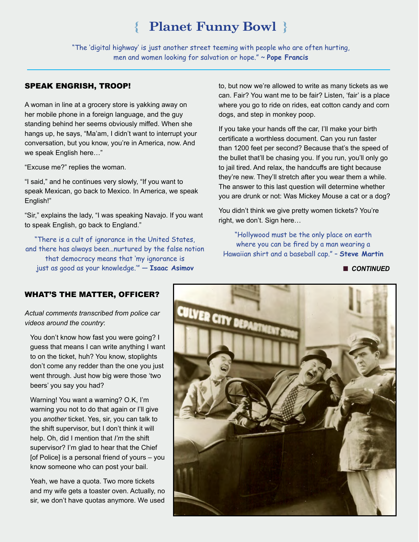"The 'digital highway' is just another street teeming with people who are often hurting, men and women looking for salvation or hope." ~ **Pope Francis**

#### SPEAK ENGRISH, TROOP!

A woman in line at a grocery store is yakking away on her mobile phone in a foreign language, and the guy standing behind her seems obviously miffed. When she hangs up, he says, "Ma'am, I didn't want to interrupt your conversation, but you know, you're in America, now. And we speak English here…"

"Excuse me?" replies the woman.

"I said," and he continues very slowly, "If you want to speak Mexican, go back to Mexico. In America, we speak English!"

"Sir," explains the lady, "I was speaking Navajo. If you want to speak English, go back to England."

"There is a cult of ignorance in the United States, and there has always been…nurtured by the false notion that democracy means that 'my ignorance is just as good as your knowledge.'" ― **Isaac Asimov**

to, but now we're allowed to write as many tickets as we can. Fair? You want me to be fair? Listen, 'fair' is a place where you go to ride on rides, eat cotton candy and corn dogs, and step in monkey poop.

If you take your hands off the car, I'll make your birth certificate a worthless document. Can you run faster than 1200 feet per second? Because that's the speed of the bullet that'll be chasing you. If you run, you'll only go to jail tired. And relax, the handcuffs are tight because they're new. They'll stretch after you wear them a while. The answer to this last question will determine whether you are drunk or not: Was Mickey Mouse a cat or a dog?

You didn't think we give pretty women tickets? You're right, we don't. Sign here…

"Hollywood must be the only place on earth where you can be fired by a man wearing a Hawaiian shirt and a baseball cap." – **Steve Martin**

**n** CONTINUED

#### WHAT'S THE MATTER, OFFICER?

*Actual comments transcribed from police car videos around the country*:

You don't know how fast you were going? I guess that means I can write anything I want to on the ticket, huh? You know, stoplights don't come any redder than the one you just went through. Just how big were those 'two beers' you say you had?

Warning! You want a warning? O.K, I'm warning you not to do that again or I'll give you *another* ticket. Yes, sir, you can talk to the shift supervisor, but I don't think it will help. Oh, did I mention that *I'm* the shift supervisor? I'm glad to hear that the Chief [of Police] is a personal friend of yours – you know someone who can post your bail.

Yeah, we have a quota. Two more tickets and my wife gets a toaster oven. Actually, no sir, we don't have quotas anymore. We used

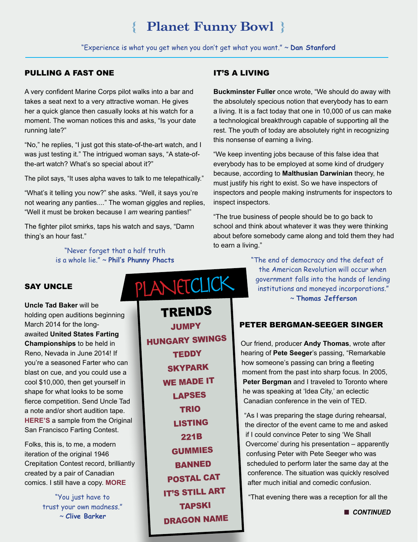"Experience is what you get when you don't get what you want." ~ **Dan Stanford**

#### PULLING A FAST ONE

A very confident Marine Corps pilot walks into a bar and takes a seat next to a very attractive woman. He gives her a quick glance then casually looks at his watch for a moment. The woman notices this and asks, "Is your date running late?"

"No," he replies, "I just got this state-of-the-art watch, and I was just testing it." The intrigued woman says, "A state-ofthe-art watch? What's so special about it?"

The pilot says, "It uses alpha waves to talk to me telepathically."

"What's it telling you now?" she asks. "Well, it says you're not wearing any panties...." The woman giggles and replies, "Well it must be broken because I *am* wearing panties!"

The fighter pilot smirks, taps his watch and says, "Damn thing's an hour fast."

> "Never forget that a half truth is a whole lie." ~ **Phil's Phunny Phacts**

#### IT'S A LIVING

**Buckminster Fuller** once wrote, "We should do away with the absolutely specious notion that everybody has to earn a living. It is a fact today that one in 10,000 of us can make a technological breakthrough capable of supporting all the rest. The youth of today are absolutely right in recognizing this nonsense of earning a living.

"We keep inventing jobs because of this false idea that everybody has to be employed at some kind of drudgery because, according to **Malthusian Darwinian** theory, he must justify his right to exist. So we have inspectors of inspectors and people making instruments for inspectors to inspect inspectors.

"The true business of people should be to go back to school and think about whatever it was they were thinking about before somebody came along and told them they had to earn a living."

SAY UNCLE

**Uncle Tad Baker** will be holding open auditions beginning March 2014 for the longawaited **United States Farting Championships** to be held in Reno, Nevada in June 2014! If you're a seasoned Farter who can blast on cue, and you could use a cool \$10,000, then get yourself in shape for what looks to be some fierce competition. Send Uncle Tad a note and/or short audition tape. **[HERE'S](https://archive.org/details/FartingContestPromo1stAnnualSanFranciscoFartingContest)** a sample from the Original San Francisco Farting Contest.

Folks, this is, to me, a modern iteration of the original 1946 Crepitation Contest record, brilliantly created by a pair of Canadian comics. I still have a copy. **[MORE](http://www.youtube.com/watch?v=2FyD95Hv7CU)**

> "You just have to trust your own madness." ~ **Clive Barker**

[JUMPY](http://rapidtrabbit.livejournal.com/888873.html) [HUNGARY SWINGS](http://www.youtube.com/watch?v=s_IHDJQudmo) **[TEDDY](http://vimeo.com/65972866) [SKYPARK](http://www.chonday.com/Videos/parking-lamborghini-sky-garage-singapore)** [WE MADE IT](http://vimeo.com/52231459) [LAPSES](http://www.youtube.com/watch?v=ASi1tewg8Co&feature=youtu.be) [TRIO](http://www.artsjournal.com/slippeddisc/2014/01/ultra-rare-film-of-the-million-dollar-trio.html) [LISTING](http://biggeekdad.com/2014/01/25-useless-facts/) [221B](http://blog.pixiehill.com/2014/01/221b-baker-street.html) [GUMMIES](http://www.amazon.com/Haribo-Gummy-Candy-Sugarless-5-Pound/product-reviews/B000EVQWKC/ref=dp_top_cm_cr_acr_txt?showViewpoints=1) [BANNED](http://www.burlingamepezmuseum.com/bannedtoy/) [POSTAL CAT](http://blog.petflow.com/you-literally-will-not-believe-what-this-cat-does-to-this-mailman-i-almost-peed-myself-laughing/) [IT'S STILL ART](http://www.rinostefanotagliafierro.com/beauty_video.html) **[TAPSKI](http://www.youtube.com/watch?v=vZAK7RwSb5A)** [DRAGON NAME](https://www.facebook.com/photo.php?fbid=573409802720319&set=a.141780109216626.27495.124580900936547&type=1&theater) TRENDS

PLANETCLICK

"The end of democracy and the defeat of the American Revolution will occur when government falls into the hands of lending institutions and moneyed incorporations." ~ **Thomas Jefferson**

#### PETER BERGMAN-SEEGER SINGER

Our friend, producer **Andy Thomas**, wrote after hearing of **Pete Seeger**'s passing, "Remarkable how someone's passing can bring a fleeting moment from the past into sharp focus. In 2005, **Peter Bergman** and I traveled to Toronto where he was speaking at 'Idea City,' an eclectic Canadian conference in the vein of TED.

"As I was preparing the stage during rehearsal, the director of the event came to me and asked if I could convince Peter to sing 'We Shall Overcome' during his presentation – apparently confusing Peter with Pete Seeger who was scheduled to perform later the same day at the conference. The situation was quickly resolved after much initial and comedic confusion.

"That evening there was a reception for all the

**n** CONTINUED